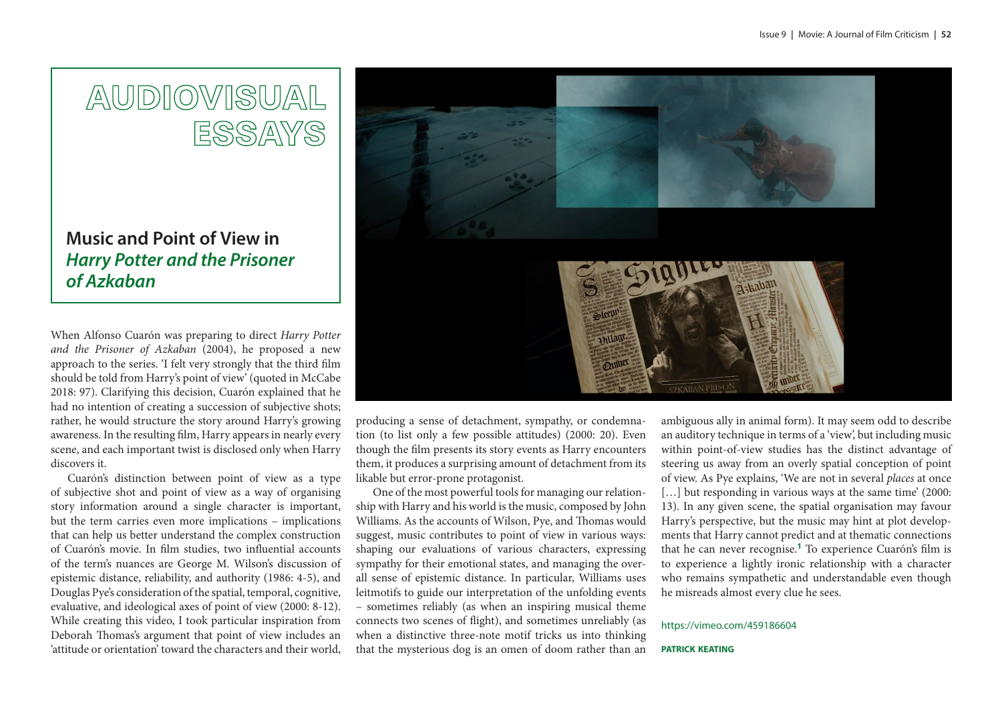# AUDIOVISUAL **ESSAYS**

## **Music and Point of View in**  *Harry Potter and the Prisoner of Azkaban*

When Alfonso Cuarón was preparing to direct *Harry Potter and the Prisoner of Azkaban* (2004), he proposed a new approach to the series. 'I felt very strongly that the third film should be told from Harry's point of view' (quoted in McCabe 2018: 97). Clarifying this decision, Cuarón explained that he had no intention of creating a succession of subjective shots; rather, he would structure the story around Harry's growing awareness. In the resulting film, Harry appears in nearly every scene, and each important twist is disclosed only when Harry discovers it.

Cuarón's distinction between point of view as a type of subjective shot and point of view as a way of organising story information around a single character is important, but the term carries even more implications – implications that can help us better understand the complex construction of Cuarón's movie. In film studies, two influential accounts of the term's nuances are George M. Wilson's discussion of epistemic distance, reliability, and authority (1986: 4-5), and Douglas Pye's consideration of the spatial, temporal, cognitive, evaluative, and ideological axes of point of view (2000: 8-12). While creating this video, I took particular inspiration from Deborah Thomas's argument that point of view includes an 'attitude or orientation' toward the characters and their world,



producing a sense of detachment, sympathy, or condemnation (to list only a few possible attitudes) (2000: 20). Even though the film presents its story events as Harry encounters them, it produces a surprising amount of detachment from its likable but error-prone protagonist.

One of the most powerful tools for managing our relationship with Harry and his world is the music, composed by John Williams. As the accounts of Wilson, Pye, and Thomas would suggest, music contributes to point of view in various ways: shaping our evaluations of various characters, expressing sympathy for their emotional states, and managing the overall sense of epistemic distance. In particular, Williams uses leitmotifs to guide our interpretation of the unfolding events – sometimes reliably (as when an inspiring musical theme connects two scenes of flight), and sometimes unreliably (as when a distinctive three-note motif tricks us into thinking that the mysterious dog is an omen of doom rather than an

ambiguous ally in animal form). It may seem odd to describe an auditory technique in terms of a 'view', but including music within point-of-view studies has the distinct advantage of steering us away from an overly spatial conception of point of view. As Pye explains, 'We are not in several *places* at once [...] but responding in various ways at the same time' (2000: 13). In any given scene, the spatial organisation may favour Harry's perspective, but the music may hint at plot developments that Harry cannot predict and at thematic connections that he can never recognise.**<sup>1</sup>** To experience Cuarón's film is

to experience a lightly ironic relationship with a character who remains sympathetic and understandable even though he misreads almost every clue he sees.

#### <https://vimeo.com/459186604>

#### **patrick keating**